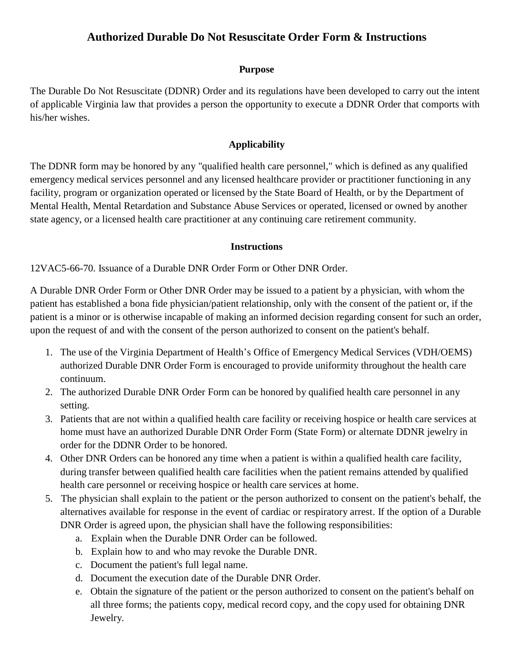## **Authorized Durable Do Not Resuscitate Order Form & Instructions**

#### **Purpose**

The Durable Do Not Resuscitate (DDNR) Order and its regulations have been developed to carry out the intent of applicable Virginia law that provides a person the opportunity to execute a DDNR Order that comports with his/her wishes.

### **Applicability**

The DDNR form may be honored by any "qualified health care personnel," which is defined as any qualified emergency medical services personnel and any licensed healthcare provider or practitioner functioning in any facility, program or organization operated or licensed by the State Board of Health, or by the Department of Mental Health, Mental Retardation and Substance Abuse Services or operated, licensed or owned by another state agency, or a licensed health care practitioner at any continuing care retirement community.

#### **Instructions**

12VAC5-66-70. Issuance of a Durable DNR Order Form or Other DNR Order.

A Durable DNR Order Form or Other DNR Order may be issued to a patient by a physician, with whom the patient has established a bona fide physician/patient relationship, only with the consent of the patient or, if the patient is a minor or is otherwise incapable of making an informed decision regarding consent for such an order, upon the request of and with the consent of the person authorized to consent on the patient's behalf.

- 1. The use of the Virginia Department of Health's Office of Emergency Medical Services (VDH/OEMS) authorized Durable DNR Order Form is encouraged to provide uniformity throughout the health care continuum.
- 2. The authorized Durable DNR Order Form can be honored by qualified health care personnel in any setting.
- 3. Patients that are not within a qualified health care facility or receiving hospice or health care services at home must have an authorized Durable DNR Order Form (State Form) or alternate DDNR jewelry in order for the DDNR Order to be honored.
- 4. Other DNR Orders can be honored any time when a patient is within a qualified health care facility, during transfer between qualified health care facilities when the patient remains attended by qualified health care personnel or receiving hospice or health care services at home.
- 5. The physician shall explain to the patient or the person authorized to consent on the patient's behalf, the alternatives available for response in the event of cardiac or respiratory arrest. If the option of a Durable DNR Order is agreed upon, the physician shall have the following responsibilities:
	- a. Explain when the Durable DNR Order can be followed.
	- b. Explain how to and who may revoke the Durable DNR.
	- c. Document the patient's full legal name.
	- d. Document the execution date of the Durable DNR Order.
	- e. Obtain the signature of the patient or the person authorized to consent on the patient's behalf on all three forms; the patients copy, medical record copy, and the copy used for obtaining DNR Jewelry.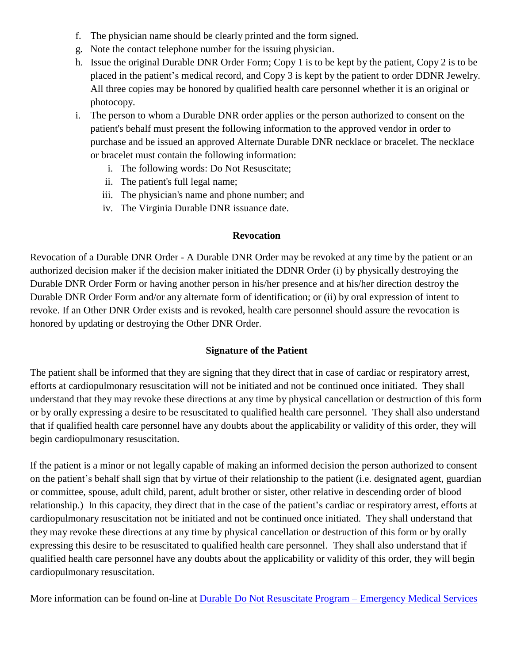- f. The physician name should be clearly printed and the form signed.
- g. Note the contact telephone number for the issuing physician.
- h. Issue the original Durable DNR Order Form; Copy 1 is to be kept by the patient, Copy 2 is to be placed in the patient's medical record, and Copy 3 is kept by the patient to order DDNR Jewelry. All three copies may be honored by qualified health care personnel whether it is an original or photocopy.
- i. The person to whom a Durable DNR order applies or the person authorized to consent on the patient's behalf must present the following information to the approved vendor in order to purchase and be issued an approved Alternate Durable DNR necklace or bracelet. The necklace or bracelet must contain the following information:
	- i. The following words: Do Not Resuscitate;
	- ii. The patient's full legal name;
	- iii. The physician's name and phone number; and
	- iv. The Virginia Durable DNR issuance date.

#### **Revocation**

Revocation of a Durable DNR Order - A Durable DNR Order may be revoked at any time by the patient or an authorized decision maker if the decision maker initiated the DDNR Order (i) by physically destroying the Durable DNR Order Form or having another person in his/her presence and at his/her direction destroy the Durable DNR Order Form and/or any alternate form of identification; or (ii) by oral expression of intent to revoke. If an Other DNR Order exists and is revoked, health care personnel should assure the revocation is honored by updating or destroying the Other DNR Order.

#### **Signature of the Patient**

The patient shall be informed that they are signing that they direct that in case of cardiac or respiratory arrest, efforts at cardiopulmonary resuscitation will not be initiated and not be continued once initiated. They shall understand that they may revoke these directions at any time by physical cancellation or destruction of this form or by orally expressing a desire to be resuscitated to qualified health care personnel. They shall also understand that if qualified health care personnel have any doubts about the applicability or validity of this order, they will begin cardiopulmonary resuscitation.

If the patient is a minor or not legally capable of making an informed decision the person authorized to consent on the patient's behalf shall sign that by virtue of their relationship to the patient (i.e. designated agent, guardian or committee, spouse, adult child, parent, adult brother or sister, other relative in descending order of blood relationship.) In this capacity, they direct that in the case of the patient's cardiac or respiratory arrest, efforts at cardiopulmonary resuscitation not be initiated and not be continued once initiated. They shall understand that they may revoke these directions at any time by physical cancellation or destruction of this form or by orally expressing this desire to be resuscitated to qualified health care personnel. They shall also understand that if qualified health care personnel have any doubts about the applicability or validity of this order, they will begin cardiopulmonary resuscitation.

More information can be found on-line at [Durable Do Not Resuscitate Program –](http://www.vdh.virginia.gov/emergency-medical-services/other-ems-programs-and-links/durable-do-not-resuscitate-program/) Emergency Medical Services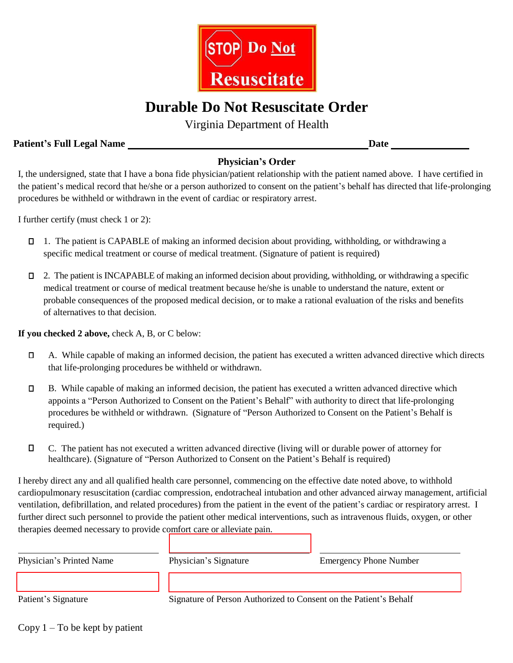

# **Durable Do Not Resuscitate Order**

Virginia Department of Health

### **Patient's Full Legal Name Date**

## **Physician's Order**

I, the undersigned, state that I have a bona fide physician/patient relationship with the patient named above. I have certified in the patient's medical record that he/she or a person authorized to consent on the patient's behalf has directed that life-prolonging procedures be withheld or withdrawn in the event of cardiac or respiratory arrest.

I further certify (must check 1 or 2):

- 1. The patient is CAPABLE of making an informed decision about providing, withholding, or withdrawing a specific medical treatment or course of medical treatment. (Signature of patient is required)
- 2. The patient is INCAPABLE of making an informed decision about providing, withholding, or withdrawing a specific medical treatment or course of medical treatment because he/she is unable to understand the nature, extent or probable consequences of the proposed medical decision, or to make a rational evaluation of the risks and benefits of alternatives to that decision.

**If you checked 2 above,** check A, B, or C below:

- A. While capable of making an informed decision, the patient has executed a written advanced directive which directs that life-prolonging procedures be withheld or withdrawn.
- B. While capable of making an informed decision, the patient has executed a written advanced directive which appoints a "Person Authorized to Consent on the Patient's Behalf" with authority to direct that life-prolonging procedures be withheld or withdrawn. (Signature of "Person Authorized to Consent on the Patient's Behalf is required.)
- C. The patient has not executed a written advanced directive (living will or durable power of attorney for healthcare). (Signature of "Person Authorized to Consent on the Patient's Behalf is required)

I hereby direct any and all qualified health care personnel, commencing on the effective date noted above, to withhold cardiopulmonary resuscitation (cardiac compression, endotracheal intubation and other advanced airway management, artificial ventilation, defibrillation, and related procedures) from the patient in the event of the patient's cardiac or respiratory arrest. I further direct such personnel to provide the patient other medical interventions, such as intravenous fluids, oxygen, or other therapies deemed necessary to provide comfort care or alleviate pain.

| Physician's Signature                                             | <b>Emergency Phone Number</b> |
|-------------------------------------------------------------------|-------------------------------|
|                                                                   |                               |
|                                                                   |                               |
| Signature of Person Authorized to Consent on the Patient's Behalf |                               |
|                                                                   |                               |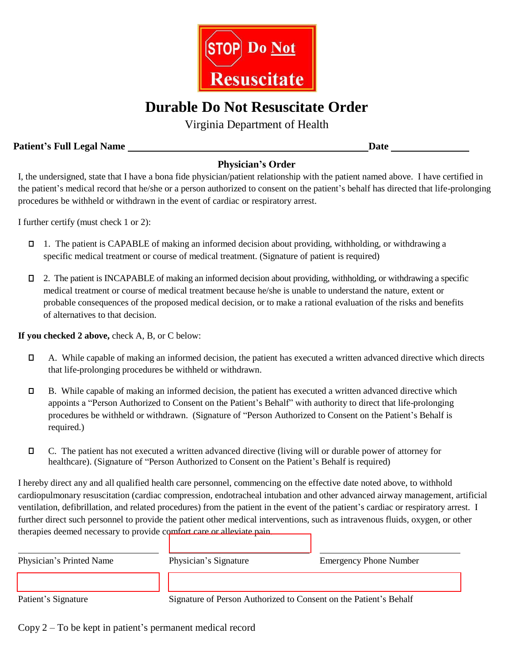

# **Durable Do Not Resuscitate Order**

Virginia Department of Health

### **Patient's Full Legal Name Date**

## **Physician's Order**

I, the undersigned, state that I have a bona fide physician/patient relationship with the patient named above. I have certified in the patient's medical record that he/she or a person authorized to consent on the patient's behalf has directed that life-prolonging procedures be withheld or withdrawn in the event of cardiac or respiratory arrest.

I further certify (must check 1 or 2):

- 1. The patient is CAPABLE of making an informed decision about providing, withholding, or withdrawing a specific medical treatment or course of medical treatment. (Signature of patient is required)
- 2. The patient is INCAPABLE of making an informed decision about providing, withholding, or withdrawing a specific medical treatment or course of medical treatment because he/she is unable to understand the nature, extent or probable consequences of the proposed medical decision, or to make a rational evaluation of the risks and benefits of alternatives to that decision.

**If you checked 2 above,** check A, B, or C below:

- A. While capable of making an informed decision, the patient has executed a written advanced directive which directs that life-prolonging procedures be withheld or withdrawn.
- B. While capable of making an informed decision, the patient has executed a written advanced directive which appoints a "Person Authorized to Consent on the Patient's Behalf" with authority to direct that life-prolonging procedures be withheld or withdrawn. (Signature of "Person Authorized to Consent on the Patient's Behalf is required.)
- C. The patient has not executed a written advanced directive (living will or durable power of attorney for healthcare). (Signature of "Person Authorized to Consent on the Patient's Behalf is required)

I hereby direct any and all qualified health care personnel, commencing on the effective date noted above, to withhold cardiopulmonary resuscitation (cardiac compression, endotracheal intubation and other advanced airway management, artificial ventilation, defibrillation, and related procedures) from the patient in the event of the patient's cardiac or respiratory arrest. I further direct such personnel to provide the patient other medical interventions, such as intravenous fluids, oxygen, or other therapies deemed necessary to provide comfort care or [alleviate pain.](www.esign.com)

| Physician's Printed Name | Physician's Signature                                             | <b>Emergency Phone Number</b> |
|--------------------------|-------------------------------------------------------------------|-------------------------------|
|                          |                                                                   |                               |
| Patient's Signature      | Signature of Person Authorized to Consent on the Patient's Behalf |                               |